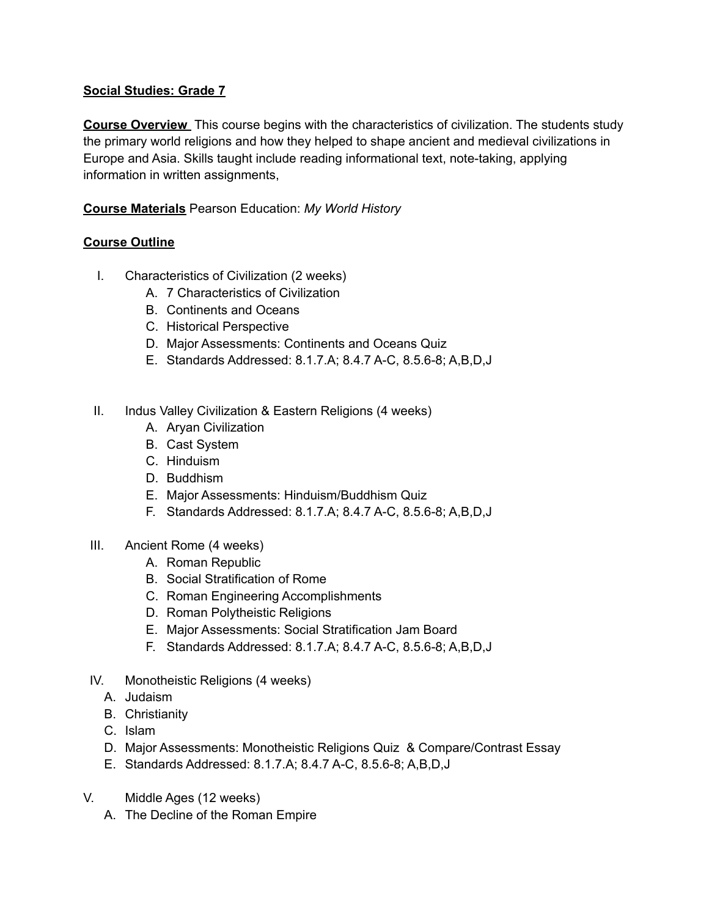## **Social Studies: Grade 7**

**Course Overview** This course begins with the characteristics of civilization. The students study the primary world religions and how they helped to shape ancient and medieval civilizations in Europe and Asia. Skills taught include reading informational text, note-taking, applying information in written assignments,

## **Course Materials** Pearson Education: *My World History*

## **Course Outline**

- I. Characteristics of Civilization (2 weeks)
	- A. 7 Characteristics of Civilization
	- B. Continents and Oceans
	- C. Historical Perspective
	- D. Major Assessments: Continents and Oceans Quiz
	- E. Standards Addressed: 8.1.7.A; 8.4.7 A-C, 8.5.6-8; A,B,D,J
- II. Indus Valley Civilization & Eastern Religions (4 weeks)
	- A. Aryan Civilization
	- B. Cast System
	- C. Hinduism
	- D. Buddhism
	- E. Major Assessments: Hinduism/Buddhism Quiz
	- F. Standards Addressed: 8.1.7.A; 8.4.7 A-C, 8.5.6-8; A,B,D,J
- III. Ancient Rome (4 weeks)
	- A. Roman Republic
	- B. Social Stratification of Rome
	- C. Roman Engineering Accomplishments
	- D. Roman Polytheistic Religions
	- E. Major Assessments: Social Stratification Jam Board
	- F. Standards Addressed: 8.1.7.A; 8.4.7 A-C, 8.5.6-8; A,B,D,J
- IV. Monotheistic Religions (4 weeks)
	- A. Judaism
	- B. Christianity
	- C. Islam
	- D. Major Assessments: Monotheistic Religions Quiz & Compare/Contrast Essay
	- E. Standards Addressed: 8.1.7.A; 8.4.7 A-C, 8.5.6-8; A,B,D,J
- V. Middle Ages (12 weeks)
	- A. The Decline of the Roman Empire